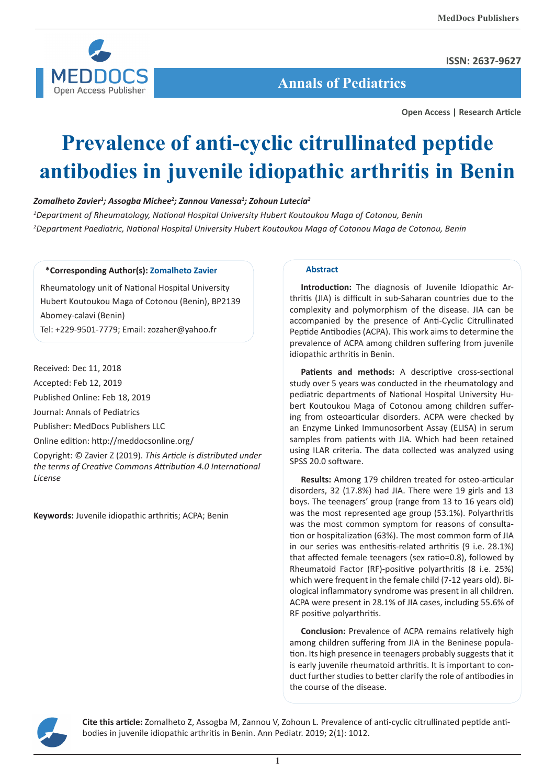

**ISSN: 2637-9627**

 **Annals of Pediatrics**

**Open Access | Research Article**

# **Prevalence of anti-cyclic citrullinated peptide antibodies in juvenile idiopathic arthritis in Benin**

# *Zomalheto Zavier1 ; Assogba Michee2 ; Zannou Vanessa1 ; Zohoun Lutecia2*

*1 Department of Rheumatology, National Hospital University Hubert Koutoukou Maga of Cotonou, Benin 2 Department Paediatric, National Hospital University Hubert Koutoukou Maga of Cotonou Maga de Cotonou, Benin*

# **\*Corresponding Author(s): Zomalheto Zavier**

Rheumatology unit of National Hospital University Hubert Koutoukou Maga of Cotonou (Benin), BP2139 Abomey-calavi (Benin) Tel: +229-9501-7779; Email: zozaher@yahoo.fr

Received: Dec 11, 2018

Accepted: Feb 12, 2019

Published Online: Feb 18, 2019

Journal: Annals of Pediatrics

Publisher: MedDocs Publishers LLC

Online edition: http://meddocsonline.org/

Copyright: © Zavier Z (2019). *This Article is distributed under the terms of Creative Commons Attribution 4.0 International License*

**Keywords:** Juvenile idiopathic arthritis; ACPA; Benin

## **Abstract**

**Introduction:** The diagnosis of Juvenile Idiopathic Arthritis (JIA) is difficult in sub-Saharan countries due to the complexity and polymorphism of the disease. JIA can be accompanied by the presence of Anti-Cyclic Citrullinated Peptide Antibodies (ACPA). This work aims to determine the prevalence of ACPA among children suffering from juvenile idiopathic arthritis in Benin.

Patients and methods: A descriptive cross-sectional study over 5 years was conducted in the rheumatology and pediatric departments of National Hospital University Hubert Koutoukou Maga of Cotonou among children suffering from osteoarticular disorders. ACPA were checked by an Enzyme Linked Immunosorbent Assay (ELISA) in serum samples from patients with JIA. Which had been retained using ILAR criteria. The data collected was analyzed using SPSS 20.0 software.

**Results:** Among 179 children treated for osteo-articular disorders, 32 (17.8%) had JIA. There were 19 girls and 13 boys. The teenagers' group (range from 13 to 16 years old) was the most represented age group (53.1%). Polyarthritis was the most common symptom for reasons of consultation or hospitalization (63%). The most common form of JIA in our series was enthesitis-related arthritis (9 i.e. 28.1%) that affected female teenagers (sex ratio=0.8), followed by Rheumatoid Factor (RF)-positive polyarthritis (8 i.e. 25%) which were frequent in the female child (7-12 years old). Biological inflammatory syndrome was present in all children. ACPA were present in 28.1% of JIA cases, including 55.6% of RF positive polyarthritis.

**Conclusion:** Prevalence of ACPA remains relatively high among children suffering from JIA in the Beninese population. Its high presence in teenagers probably suggests that it is early juvenile rheumatoid arthritis. It is important to conduct further studies to better clarify the role of antibodies in the course of the disease.



**Cite this article:** Zomalheto Z, Assogba M, Zannou V, Zohoun L. Prevalence of anti-cyclic citrullinated peptide antibodies in juvenile idiopathic arthritis in Benin. Ann Pediatr. 2019; 2(1): 1012.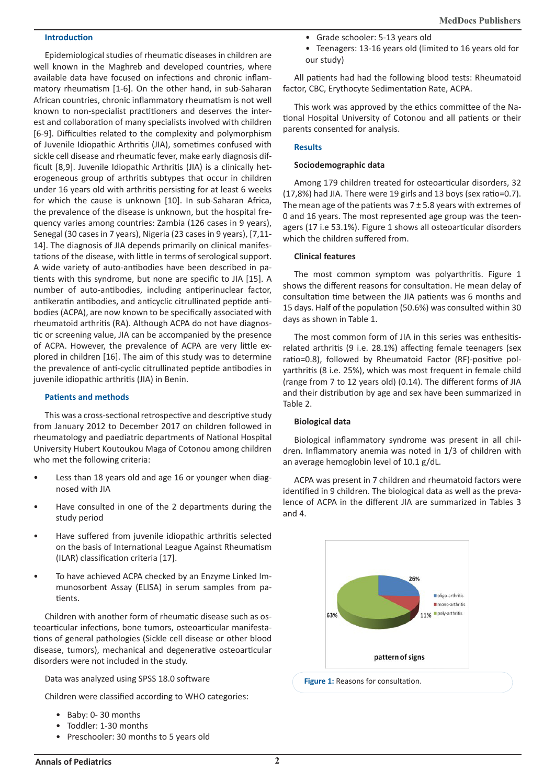### **Introduction**

Epidemiological studies of rheumatic diseases in children are well known in the Maghreb and developed countries, where available data have focused on infections and chronic inflammatory rheumatism [1-6]. On the other hand, in sub-Saharan African countries, chronic inflammatory rheumatism is not well known to non-specialist practitioners and deserves the interest and collaboration of many specialists involved with children [6-9]. Difficulties related to the complexity and polymorphism of Juvenile Idiopathic Arthritis (JIA), sometimes confused with sickle cell disease and rheumatic fever, make early diagnosis difficult [8,9]. Juvenile Idiopathic Arthritis (JIA) is a clinically heterogeneous group of arthritis subtypes that occur in children under 16 years old with arthritis persisting for at least 6 weeks for which the cause is unknown [10]. In sub-Saharan Africa, the prevalence of the disease is unknown, but the hospital frequency varies among countries: Zambia (126 cases in 9 years), Senegal (30 cases in 7 years), Nigeria (23 cases in 9 years), [7,11- 14]. The diagnosis of JIA depends primarily on clinical manifestations of the disease, with little in terms of serological support. A wide variety of auto-antibodies have been described in patients with this syndrome, but none are specific to JIA [15]. A number of auto-antibodies, including antiperinuclear factor, antikeratin antibodies, and anticyclic citrullinated peptide antibodies (ACPA), are now known to be specifically associated with rheumatoid arthritis (RA). Although ACPA do not have diagnostic or screening value, JIA can be accompanied by the presence of ACPA. However, the prevalence of ACPA are very little explored in children [16]. The aim of this study was to determine the prevalence of anti-cyclic citrullinated peptide antibodies in juvenile idiopathic arthritis (JIA) in Benin.

## **Patients and methods**

This was a cross-sectional retrospective and descriptive study from January 2012 to December 2017 on children followed in rheumatology and paediatric departments of National Hospital University Hubert Koutoukou Maga of Cotonou among children who met the following criteria:

- Less than 18 years old and age 16 or younger when diagnosed with JIA
- Have consulted in one of the 2 departments during the study period
- Have suffered from juvenile idiopathic arthritis selected on the basis of International League Against Rheumatism (ILAR) classification criteria [17].
- To have achieved ACPA checked by an Enzyme Linked Immunosorbent Assay (ELISA) in serum samples from patients.

Children with another form of rheumatic disease such as osteoarticular infections, bone tumors, osteoarticular manifestations of general pathologies (Sickle cell disease or other blood disease, tumors), mechanical and degenerative osteoarticular disorders were not included in the study.

Data was analyzed using SPSS 18.0 software

Children were classified according to WHO categories:

- Baby: 0- 30 months
- Toddler: 1-30 months
- Preschooler: 30 months to 5 years old
- Grade schooler: 5-13 years old
- Teenagers: 13-16 years old (limited to 16 years old for our study)

All patients had had the following blood tests: Rheumatoid factor, CBC, Erythocyte Sedimentation Rate, ACPA.

This work was approved by the ethics committee of the National Hospital University of Cotonou and all patients or their parents consented for analysis.

#### **Results**

#### **Sociodemographic data**

Among 179 children treated for osteoarticular disorders, 32 (17,8%) had JIA. There were 19 girls and 13 boys (sex ratio=0.7). The mean age of the patients was  $7 \pm 5.8$  years with extremes of 0 and 16 years. The most represented age group was the teenagers (17 i.e 53.1%). Figure 1 shows all osteoarticular disorders which the children suffered from.

#### **Clinical features**

The most common symptom was polyarthritis. Figure 1 shows the different reasons for consultation. He mean delay of consultation time between the JIA patients was 6 months and 15 days. Half of the population (50.6%) was consulted within 30 days as shown in Table 1.

The most common form of JIA in this series was enthesitisrelated arthritis (9 i.e. 28.1%) affecting female teenagers (sex ratio=0.8), followed by Rheumatoid Factor (RF)-positive polyarthritis (8 i.e. 25%), which was most frequent in female child (range from 7 to 12 years old) (0.14). The different forms of JIA and their distribution by age and sex have been summarized in Table 2.

#### **Biological data**

Biological inflammatory syndrome was present in all children. Inflammatory anemia was noted in 1/3 of children with an average hemoglobin level of 10.1 g/dL.

ACPA was present in 7 children and rheumatoid factors were identified in 9 children. The biological data as well as the prevalence of ACPA in the different JIA are summarized in Tables 3 and 4.



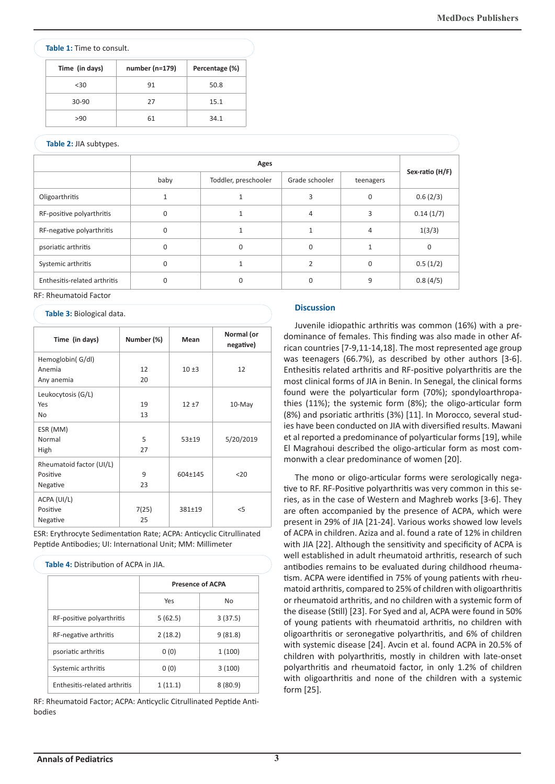#### **Table 1:** Time to consult.

| Time (in days) | number (n=179) | Percentage (%) |
|----------------|----------------|----------------|
| < 30           | 91             | 50.8           |
| $30-90$        | 27             | 15.1           |
| >90            | 61             | 34.1           |

# **Table 2:** JIA subtypes.

| <b>Table 2.</b> JIA SUDLYPES. |          |                      |                |           |                 |  |  |
|-------------------------------|----------|----------------------|----------------|-----------|-----------------|--|--|
|                               | Ages     |                      |                |           |                 |  |  |
|                               | baby     | Toddler, preschooler | Grade schooler | teenagers | Sex-ratio (H/F) |  |  |
| Oligoarthritis                |          |                      | 3              | $\Omega$  | 0.6(2/3)        |  |  |
| RF-positive polyarthritis     | $\Omega$ |                      | $\overline{4}$ | 3         | 0.14(1/7)       |  |  |
| RF-negative polyarthritis     | $\Omega$ | 1                    | 1              | 4         | 1(3/3)          |  |  |
| psoriatic arthritis           | $\Omega$ | $\mathbf 0$          | $\mathbf{0}$   |           | $\mathbf 0$     |  |  |
| Systemic arthritis            | $\Omega$ |                      | $\mathfrak{p}$ | $\Omega$  | 0.5(1/2)        |  |  |
| Enthesitis-related arthritis  | 0        | 0                    | 0              | 9         | 0.8(4/5)        |  |  |

RF: Rheumatoid Factor

#### **Table 3:** Biological data.

| Time (in days)           | Number (%) | Mean      | Normal (or<br>negative) |
|--------------------------|------------|-----------|-------------------------|
| Hemoglobin(G/dl)         |            |           |                         |
| Anemia                   | 12         | $10 + 3$  | 12                      |
| Any anemia               | 20         |           |                         |
| Leukocytosis (G/L)       |            |           |                         |
| Yes                      | 19         | $12 + 7$  | $10$ -May               |
| No                       | 13         |           |                         |
| ESR (MM)                 |            |           |                         |
| Normal                   | 5          | $53 + 19$ | 5/20/2019               |
| High                     | 27         |           |                         |
| Rheumatoid factor (UI/L) |            |           |                         |
| Positive                 | 9          | 604±145   | $20$                    |
| Negative                 | 23         |           |                         |
| ACPA (UI/L)              |            |           |                         |
| Positive                 | 7(25)      | 381±19    | $<$ 5                   |
| Negative                 | 25         |           |                         |

ESR: Erythrocyte Sedimentation Rate; ACPA: Anticyclic Citrullinated Peptide Antibodies; UI: International Unit; MM: Millimeter

**Table 4:** Distribution of ACPA in JIA.

|                              | <b>Presence of ACPA</b> |           |  |
|------------------------------|-------------------------|-----------|--|
|                              | Yes                     | <b>No</b> |  |
| RF-positive polyarthritis    | 5(62.5)                 | 3(37.5)   |  |
| RF-negative arthritis        | 2(18.2)                 | 9(81.8)   |  |
| psoriatic arthritis          | 0(0)                    | 1(100)    |  |
| Systemic arthritis           | 0(0)                    | 3(100)    |  |
| Enthesitis-related arthritis | 1(11.1)                 | 8(80.9)   |  |

RF: Rheumatoid Factor; ACPA: Anticyclic Citrullinated Peptide Antibodies

#### **Discussion**

Juvenile idiopathic arthritis was common (16%) with a predominance of females. This finding was also made in other African countries [7-9,11-14,18]. The most represented age group was teenagers (66.7%), as described by other authors [3-6]. Enthesitis related arthritis and RF-positive polyarthritis are the most clinical forms of JIA in Benin. In Senegal, the clinical forms found were the polyarticular form (70%); spondyloarthropathies (11%); the systemic form (8%); the oligo-articular form (8%) and psoriatic arthritis (3%) [11]. In Morocco, several studies have been conducted on JIA with diversified results. Mawani et al reported a predominance of polyarticular forms [19], while El Magrahoui described the oligo-articular form as most commonwith a clear predominance of women [20].

The mono or oligo-articular forms were serologically negative to RF. RF-Positive polyarthritis was very common in this series, as in the case of Western and Maghreb works [3-6]. They are often accompanied by the presence of ACPA, which were present in 29% of JIA [21-24]. Various works showed low levels of ACPA in children. Aziza and al. found a rate of 12% in children with JIA [22]. Although the sensitivity and specificity of ACPA is well established in adult rheumatoid arthritis, research of such antibodies remains to be evaluated during childhood rheumatism. ACPA were identified in 75% of young patients with rheumatoid arthritis, compared to 25% of children with oligoarthritis or rheumatoid arthritis, and no children with a systemic form of the disease (Still) [23]. For Syed and al, ACPA were found in 50% of young patients with rheumatoid arthritis, no children with oligoarthritis or seronegative polyarthritis, and 6% of children with systemic disease [24]. Avcin et al. found ACPA in 20.5% of children with polyarthritis, mostly in children with late-onset polyarthritis and rheumatoid factor, in only 1.2% of children with oligoarthritis and none of the children with a systemic form [25].